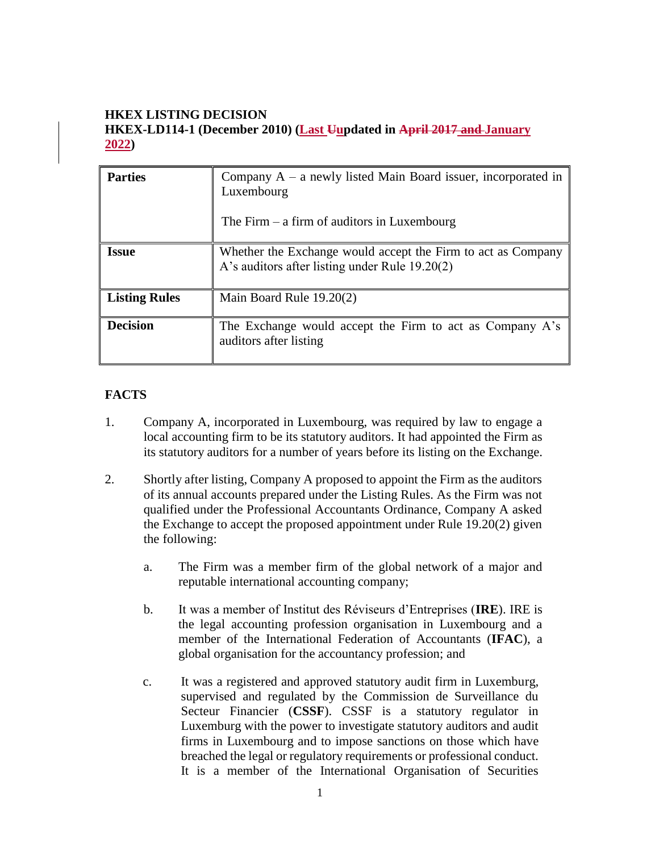# **HKEX LISTING DECISION HKEX-LD114-1 (December 2010) (Last Uupdated in April 2017 and January 2022)**

| <b>Parties</b>       | Company $A - a$ newly listed Main Board issuer, incorporated in<br>Luxembourg<br>The Firm $-$ a firm of auditors in Luxembourg |
|----------------------|--------------------------------------------------------------------------------------------------------------------------------|
| <b>Issue</b>         | Whether the Exchange would accept the Firm to act as Company<br>A's auditors after listing under Rule 19.20(2)                 |
| <b>Listing Rules</b> | Main Board Rule 19.20(2)                                                                                                       |
| <b>Decision</b>      | The Exchange would accept the Firm to act as Company A's<br>auditors after listing                                             |

## **FACTS**

- 1. Company A, incorporated in Luxembourg, was required by law to engage a local accounting firm to be its statutory auditors. It had appointed the Firm as its statutory auditors for a number of years before its listing on the Exchange.
- 2. Shortly after listing, Company A proposed to appoint the Firm as the auditors of its annual accounts prepared under the Listing Rules. As the Firm was not qualified under the Professional Accountants Ordinance, Company A asked the Exchange to accept the proposed appointment under Rule 19.20(2) given the following:
	- a. The Firm was a member firm of the global network of a major and reputable international accounting company;
	- b. It was a member of Institut des Réviseurs d'Entreprises (**IRE**). IRE is the legal accounting profession organisation in Luxembourg and a member of the International Federation of Accountants (**IFAC**), a global organisation for the accountancy profession; and
	- c. It was a registered and approved statutory audit firm in Luxemburg, supervised and regulated by the Commission de Surveillance du Secteur Financier (**CSSF**). CSSF is a statutory regulator in Luxemburg with the power to investigate statutory auditors and audit firms in Luxembourg and to impose sanctions on those which have breached the legal or regulatory requirements or professional conduct. It is a member of the International Organisation of Securities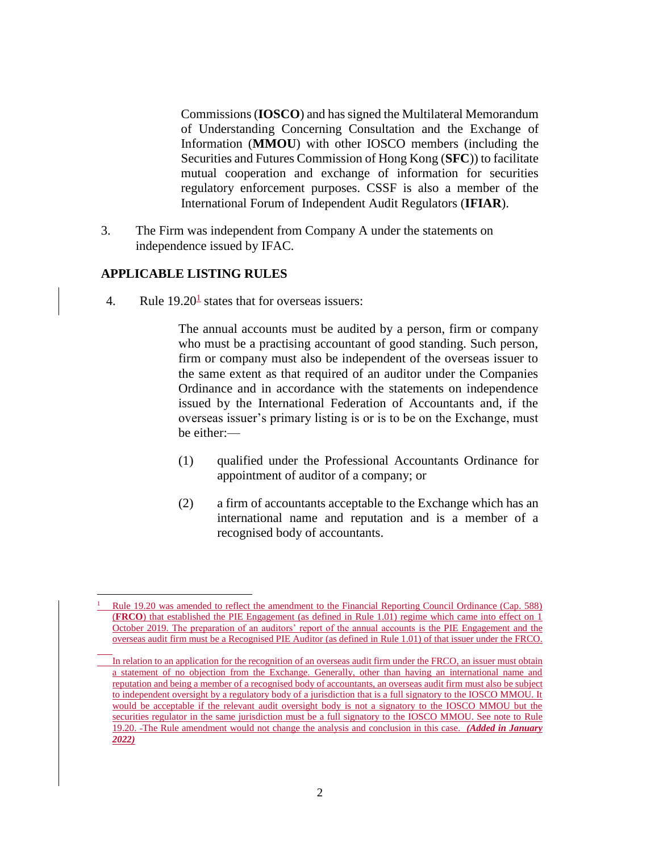Commissions (**IOSCO**) and has signed the Multilateral Memorandum of Understanding Concerning Consultation and the Exchange of Information (**MMOU**) with other IOSCO members (including the Securities and Futures Commission of Hong Kong (**SFC**)) to facilitate mutual cooperation and exchange of information for securities regulatory enforcement purposes. CSSF is also a member of the International Forum of Independent Audit Regulators (**IFIAR**).

3. The Firm was independent from Company A under the statements on independence issued by IFAC.

#### **APPLICABLE LISTING RULES**

 $\overline{a}$ 

4. Rule  $19.20<sup>1</sup>$  states that for overseas issuers:

The annual accounts must be audited by a person, firm or company who must be a practising accountant of good standing. Such person, firm or company must also be independent of the overseas issuer to the same extent as that required of an auditor under the Companies Ordinance and in accordance with the statements on independence issued by the International Federation of Accountants and, if the overseas issuer's primary listing is or is to be on the Exchange, must be either:—

- (1) qualified under the Professional Accountants Ordinance for appointment of auditor of a company; or
- (2) a firm of accountants acceptable to the Exchange which has an international name and reputation and is a member of a recognised body of accountants.

<sup>1</sup> Rule 19.20 was amended to reflect the amendment to the Financial Reporting Council Ordinance (Cap. 588) (**FRCO**) that established the PIE Engagement (as defined in Rule 1.01) regime which came into effect on 1 October 2019. The preparation of an auditors' report of the annual accounts is the PIE Engagement and the overseas audit firm must be a Recognised PIE Auditor (as defined in Rule 1.01) of that issuer under the FRCO.

In relation to an application for the recognition of an overseas audit firm under the FRCO, an issuer must obtain a statement of no objection from the Exchange. Generally, other than having an international name and reputation and being a member of a recognised body of accountants, an overseas audit firm must also be subject to independent oversight by a regulatory body of a jurisdiction that is a full signatory to the IOSCO MMOU. It would be acceptable if the relevant audit oversight body is not a signatory to the IOSCO MMOU but the securities regulator in the same jurisdiction must be a full signatory to the IOSCO MMOU. See note to Rule 19.20. The Rule amendment would not change the analysis and conclusion in this case*. (Added in January 2022)*